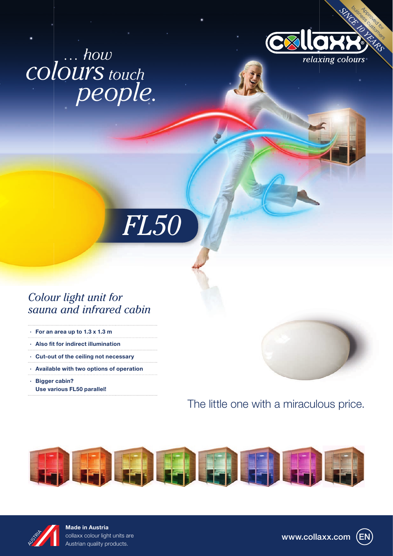# *colours touch people. … how*



# *Colour light unit for sauna and infrared cabin*

*FL50*

- · For an area up to 1.3 x 1.3 m
- $\cdot$  Also fit for indirect illumination
- · Cut-out of the ceiling not necessary
- · Available with two options of operation
- · Bigger cabin? Use various FL50 parallel!



# The little one with a miraculous price.





Made in Austria collaxx colour light units are Austrian quality products.

www.collaxx.com